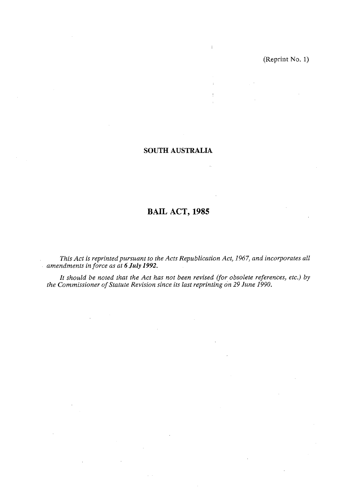$\frac{1}{2}$ Ă.  $\mathcal{L}^{\mathcal{L}}$ 

 $\sim$ 

## **SOUTH AUSTRALIA**

 $\mathbf{r}$ 

 $\mathcal{L}_\mathrm{c}$ 

# **BAIL ACT, 1985**

*This Act is reprinted pursuant to the Acts Republication Act, 1967, and incorporates all amendments in force as at 6 July 1992.* 

*It should be noted that the Act has not been revised (for obsolete references, etc.) by the Commissioner of Statute Revision since its last reprinting on 29 June 1990.* 

 $\bar{q} = \bar{q}$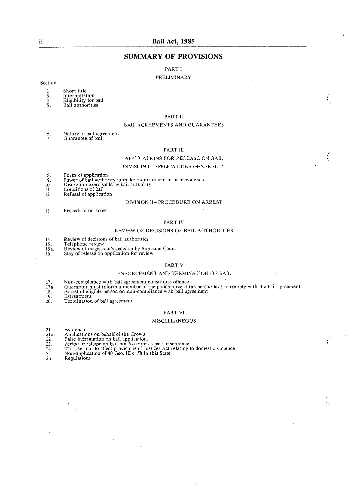## Bail Act, 1985

## **SUMMARY OF PROVISIONS**

PART I

#### **PRELIMINARY**

## Section

- Short title  $\mathbf{1}$ .
- Interpretation<br>Eligibility for bail<br>Bail authorities  $\frac{3}{4}$
- 5.
- 

#### PART II

#### BAIL AGREEMENTS AND GUARANTEES

- Nature of bail agreement  $rac{6}{7}$ Guarantee of bail
- 

### PART III

## APPLICATIONS FOR RELEASE ON BAIL

#### DIVISION I-APPLICATIONS GENERALLY

- Form of application<br>Power of ball authority to make inquiries and to hear evidence<br>Discretion exercisable by bail authority  $\frac{8}{9}$ .
- 10.
- II. Conditions of bail
- 12. Refusal of application

#### DIVISION II-PROCEDURE ON ARREST

13. Procedure on arrest

#### PART IV

#### REVIEW OF DECISIONS OF BAIL AUTHORITIES

- $14\,$ Review of decisions of bail authorities
- $\frac{15}{15a}$ 
	-
- Telephone review<br>Review of magistrate's decision by Supreme Court<br>Stay of release on application for review  $16.$

#### PART V

#### ENFORCEMENT AND TERMINATION OF BAIL

- $17\,.$
- Non-compliance with bail agreement constitutes offence<br>Guarantor must inform a member of the police force if the person fails to comply with the bail agreement<br>Arrest of eligible person on non-compliance with bail agreemen  $17a$
- $\overline{18}$ .
- 19. Estreatment
- $20.$ Termination of bail agreement

#### PART VI

#### **MISCELLANEOUS**

- 21. Evidence
- $21.22.$ <br>  $22.23.24.25.$ <br>  $26.26.$ Applications on behalf of the Crown<br>False information on bail applications
- 
- 
- Figure 2.1 and the country of sentence<br>This Act not to affect provisions of Justices Act relating to domestic violence<br>This Act not to affect provisions of Justices Act relating to domestic violence<br>Non-application of 48 G
- 
- 

ii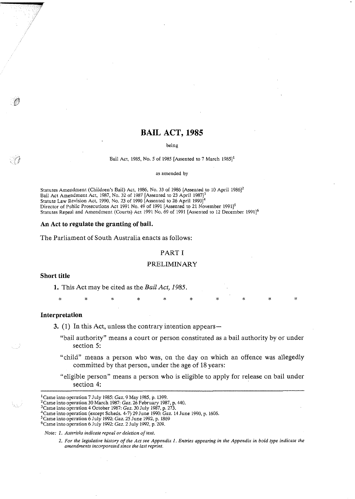## **BAIL ACT, 1985**

being

Bail Act, 1985, No. 5 of 1985 [Assented to 7 March  $1985$ ]<sup>1</sup>

as amended by

Statutes Amendment (Children's Bail) Act, 1986, No. 33 of 1986 [Assented to 10 April 19861' Bail Act Amendment Act, 1987, No. 32 of 1987 [Assented to 23 April 1987] $^3$ Statute Law Revision Act, 1990, No. 23 of 1990 [Assented to 26 April 1990] $^4$ Director of Public Prosecutions Act 1991 No. 49 of 1991 [Assented to 21 November 1991]<sup>5</sup> Statutes Repeal and Amendment (Courts) Act 1991 No. 69 of 1991 [Assented to 12 December 1991]<sup>6</sup>

#### An Act to regulate the granting **of** bail.

The Parliament of South Australia enacts as follows:

#### PART I

#### PRELIMINARY

#### Short title

**1.** This Act may be cited as the **Bail** Act, 1985.

Interpretation

 $\bar{\mathbf{x}}$ 

**3.** (1) In this Act, unless the contrary intention appears—

"bail authority" means a court or person constituted as a bail authority by or under section 5:

 $\ast$ 

- "child" means a person who was, on the day on which an offence was allegedly committed by that person, under the age of 18 years:
- "eligible person" means a person who is eligible to apply for release on bail under section 4:

<sup>5</sup> Came into operation 6 July 1992. *Gaz*. 25 June 1992, p. 1869

Note: 1. Asterisks indicate repeal or deletion of text.

<sup>&</sup>lt;sup>1</sup> Came into operation 7 July 1985: Gaz. 9 May 1985, p. 1399.

<sup>&</sup>lt;sup>2</sup> Came into operation 30 March 1987: Gaz. 26 February 1987, p. 440.

<sup>&</sup>lt;sup>3</sup> Came into operation 4 October 1987: *Gaz.* 30 July 1987, p. 273.

<sup>&#</sup>x27;Came into operation (except Scheds. 4-7) 29 June 1990: *Gaz.* 14 June 1990, p. 1606.

 $^6$ Came into operation 6 July 1992; *Gaz*. 2 July 1992, p. 209.

<sup>2.</sup> For the legislative history of the Act see Appendix 1. Entries appearing in the Appendix in bold type indicate the amendmenis incorporated since the last reprint.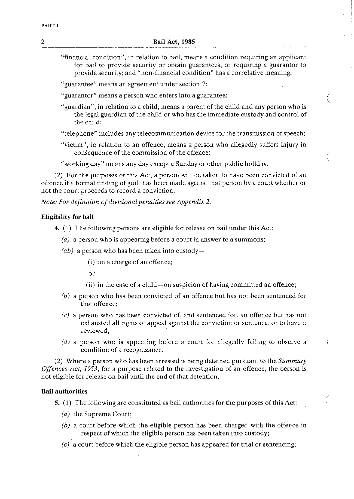- "financial condition", in relation to bail, means a condition requiring an applicant for bail to provide security or obtain guarantees, or requiring a guarantor to provide security; and "non-financial condition" has a correlative meaning:
- "guarantee" means an agreement under section 7:
- "guarantor" means a person who enters into a guarantee:
- "guardian", in relation to a child, means a parent of the child and any person who is the legal guardian of the child or who has the immediate custody and control of the child:
- "telephone" includes any telecommunication device for the transmission of speech:
- "victim", in relation to an offence, means a person who allegedly suffers injury in consequence of the commission of the offence:
- "working day" means any day except a Sunday or other public holiday.

(2) For the purposes of this Act, a person will be taken to have been convicted of an offence if a formal finding of guilt has been made against that person by a court whether or not the court proceeds to record a conviction.

*Note: For definition of divisional penalties see Appendix 2.* 

## **Eligibility for bail**

- **4.** (1) The following persons are eligible for release on bail under this Act:
	- *(a)* a person who is appearing before a court in answer to a summons;
	- *(ab)* a person who has been taken into custody-
		- (i) on a charge of an offence;

or

- (ii) in the case of a child-on suspicion of having committed an offence;
- *(b)* a person who has been convicted of an offence but has not been sentenced for that offence;
- *(c)* a person who has been convicted of, and sentenced for, an offence but has not exhausted all rights of appeal against the conviction or sentence, or to have it reviewed;
- (d) a person who is appearing before a court for allegedly failing to observe a  $\left($ condition of a recognizance.

(2) Where a person who has been arrested is being detained pursuant to the *Summary Offences Act, 1953,* for a purpose related to the investigation of an offence, the person is not eligible for release on bail until the end of that detention.

## **Bail authorities**

- 5. (1) The following are constituted as bail authorities for the purposes of this Act: \
	- *(a)* the Supreme Court;
	- *(b)* a court before which the eligible person has been charged with the offence in respect of which the eligible person has been taken into custody;
	- *(c)* a court before which the eligible person has appeared for trial or sentencing;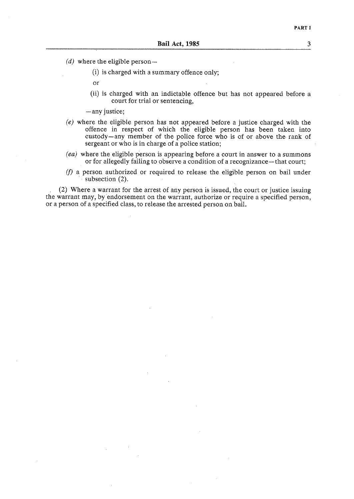- $(d)$  where the eligible person-
	- (i) is charged with a summary offence only;
	- or
	- (ii) is charged with an indictable offence but has not appeared before a court for trial or sentencing,

-any justice;

- *(ej* where the eligible person has not appeared before a justice charged with the offence in respect of which the eligible person has been taken into custody-any member of the police force who is of or above the rank of sergeant or who is in charge of a police station;
- *(ea)* where the eligible person is appearing before a court in answer to a summons or for allegedly failing to observe a condition of a recognizance-that court;
- (f) a person authorized or required to release the eligible person on bail under subsection (2).

(2) Where a warrant for the arrest of any person is issued, the court or justice issuing the warrant may, by 'endorsement on the warrant, authorize or require a specified person, or a person of a specified class, to release the arrested person on bail.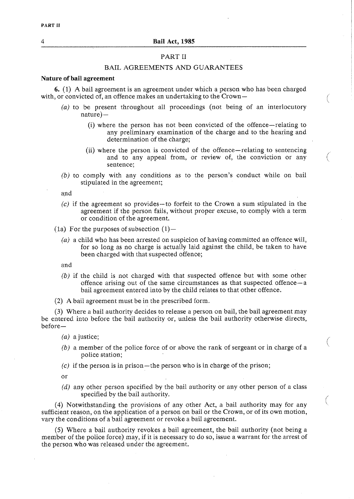## PART I1

## BAIL AGREEMENTS AND GUARANTEES

#### **Nature of bail agreement**

6. (1) **A** bail agreement is an agreement under which a person who has been charged with, or convicted of, an offence makes an undertaking to the Crown-

- *(a)* to be present throughout all proceedings (not being of an interlocutory  $nature$ —
	- (i) where the person has not been convicted of the offence-relating to any preliminary examination of the charge and to the hearing and determination of the charge;

(

€

- (ii) where the person is convicted of the offence-relating to sentencing and to any appeal from, or review of, the conviction or any sentence;
- *(b)* to comply with any conditions as to the person's conduct while on bail stipulated in the agreement;

and

- *(c)* if the agreement so provides-to forfeit to the Crown a sum stipulated in the agreement if the person fails, without proper excuse, to comply with a term or condition of the agreement.
- (1a) For the purposes of subsection  $(1)$ -
	- *(a)* a child who has been arrested on suspicion of having committed an offence will, for so long as no charge is actually laid against the child, be taken to have been charged with that suspected offence;

and

- *(b)* if the child is not charged with that suspected offence but with some other offence arising out of the same circumstances as that suspected offence-a bail agreement entered into by the child relates to that other offence.
- **(2)** A bail agreement must be in the prescribed form.

**(3)** Where a bail authority decides to release a person on bail, the bail agreement may be entered into before the bail authority or, unless the bail authority otherwise directs, before-

*(a)* a justice;

- *(b)* a member of the police force of or above the rank of sergeant or in charge of a police station;
- *(c)* if the person is in prison-the person who is in charge of the prison;

or

(d) any other person specified by the bail authority or any other person of a class specified by the bail authority.

(4) Notwithstanding the provisions of any other Act, a bail authority may for any sufficient reason, on the application of a person on bail or the Crown, or of its own motion, vary the conditions of a bail agreement or revoke a bail agreement.

(5) Where a bail authority revokes a bail agreement, the bail authority (not being a member of the police force) may, if it is necessary to do so, issue a warrant for the arrest of the person who was released under the agreement.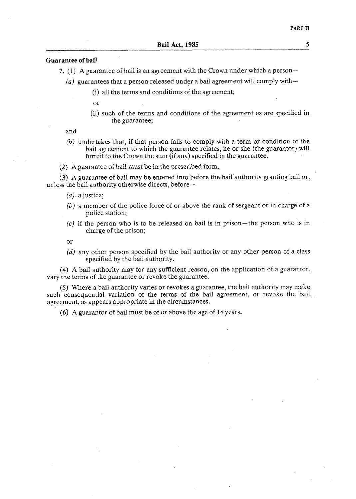#### **Guarantee of bail**

7. (1) A guarantee of bail is an agreement with the Crown under which a person-

(a) guarantees that a person released under a bail agreement will comply with  $-$ 

- (i) all the terms and conditions of the agreement;
- or
- (ii) such of the terms and conditions of the agreement as are specified in the guarantee;

and

- (b) undertakes that, if that person fails to comply with a term or condition of the bail agreement to which the guarantee relates, he or she (the guarantor) will forfeit to the Crown the sum (if any) specified in the guarantee.
- (2) A guarantee of bail must be in the prescribed form.

**(3)** A guarantee of bail may be entered into before the bail'authority granting bail or, unless the bail authority otherwise directs, before-

- (a). a justice;
- (b) a member of the police force of or above the rank of sergeant or in charge of a police station;
- $(c)$  if the person who is to be released on bail is in prison-the person who is in charge of the prison;

or

(d) any other person specified by the bail authority or any other person of a class specified by the bail authority.

(4) A bail authority may for any sufficient reason, on the application of a guarantor, vary the terms of the guarantee or revoke the guarantee.

(5) Where a bail authority varies or revokes a guarantee, the bail authority may make such consequential variation of the terms of the bail agreement, or revoke the bail agreement, as appears appropriate in the circumstances.

*(6)* A guarantor of bail must be of or above the age of 18 years.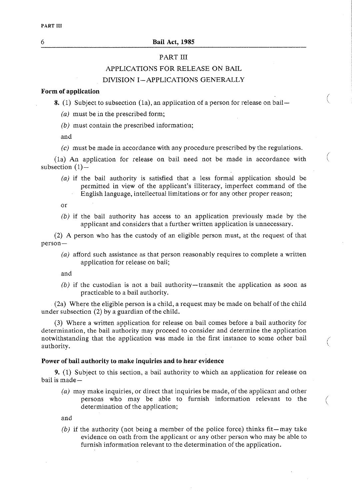## *6* **Bail Act. 1985**

## PART III

## APPLICATIONS FOR RELEASE ON BAIL

## DIVISION I-APPLICATIONS GENERALLY

## **Form of application**

**8.** (1) Subject to subsection (1a), an application of a person for release on bail-

*(a)* must be in the prescribed form;

*(6)* must contain the prescribed information;

and

(c) must be made in accordance with any procedure prescribed by the regulations.

(la) An application for release on bail need not be made in accordance with subsection  $(1)$ -

*(a)* if the bail authority is satisfied that a less formal application should be permitted in view of the applicant's illiteracy, imperfect command of the English language, intellectual limitations or for any other proper reason;

or

*(b)* if the bail authority has access to an application previously made by the applicant and considers that a further written application is unnecessary.

(2) A person who has the custody of an eligible person must, at the request of that person-

*(a)* afford such assistance as that person reasonably requires to complete a written application for release on bail;

and

*(b)* if the custodian is not a bail authority-transmit the application as soon as practicable to a bail authority.

(2a) Where the eligible person is a child, a request may be made on behalf of the child under subsection (2) by a guardian of the child.

**(3)** Where a written application for release on bail comes before a bail authority for determination, the bail authority may proceed to consider and determine the application notwithstanding that the application was made in the first instance to some other bail authority.

#### **Power of bail authority to make inquiries and to hear evidence**

**9.** (1) Subject to this section, a bail authority to which an application for release on bail is made-

*(a)* may make inquiries, or direct that inquiries be made, of the applicant and other persons who may be able to furnish information relevant to the ( determination of the application;

and

*(b)* if the authority (not being a member of the police force) thinks fit-may take evidence on oath from the applicant or any other person who may be able to furnish information relevant to the determination of the application.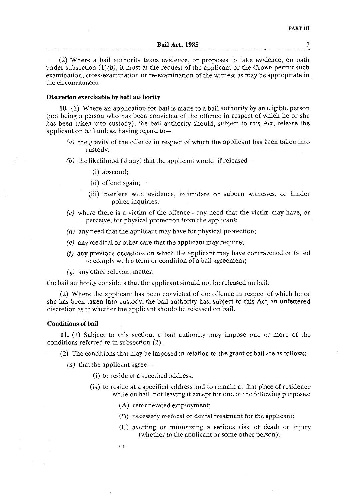(2) Where a bail authority takes evidence, or proposes to take evidence, on oath under subsection  $(1)(b)$ , it must at the request of the applicant or the Crown permit such examination, cross-examination or re-examination of the witness as may be appropriate in the circumstances.

## **Discretion exercisable by bail authority**

**10.** (1) Where an application for hail is made to a bail authority by an eligible person (not being a person who has been convicted of the offence in respect of which he or she has been taken into custody), the bail authority should, subject to this Act, release the applicant on bail unless, having regard to-

- $(a)$  the gravity of the offence in respect of which the applicant has been taken into custody;
- (b) the likelihood (if any) that the applicant would, if released-
	- (i) abscond;
	- (ii) offend again;
	- (iii) interfere with evidence, intimidate or suborn witnesses, or hinder police inquiries;
- (c) where there is a victim of the offence-any need that the victim may have, or perceive, for physical protection from the applicant;
- $(d)$  any need that the applicant may have for physical protection;
- *(e)* any medical or other care that the applicant may require;
- (f) any previous occasions on which the applicant may have contravened or failed to comply with a term or condition of a bail agreement;
- $(g)$  any other relevant matter,

the bail authority considers that the applicant should not be released on bail.

(2) Where the applicant has been convicted of the offence in respect of which he or she has been taken into custody, the bail authority has, subject to this Act, an unfettered discretion as to whether the applicant should be released on bail.

#### **Conditions of bail**

11. (1) Subject to this section, a bail authority may impose one or more of the conditions referred to in subsection (2).

(2) The conditions that may be imposed in relation to the grant of bail are as follows:

(a) that the applicant agree-

- (i) to reside at a specified address;
- (ia) to reside at a specified address and to remain at that place of residence while on bail, not leaving it except for one of the following purposes:
	- (A) remunerated employment;
	- (B) necessary medical or dental treatment for the applicant;
	- (C) averting or minimizing a serious risk of death or injury (whether to the applicant or some other person);
	- or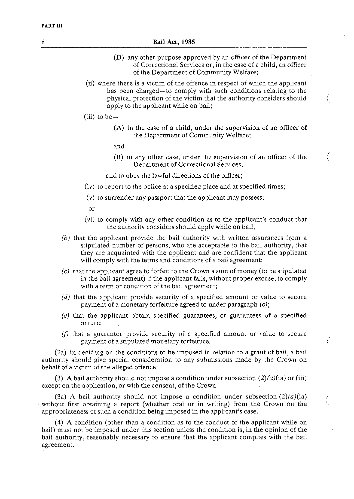| 8 | <b>Bail Act, 1985</b>                                                                                                                                                                                                                                                                                             |
|---|-------------------------------------------------------------------------------------------------------------------------------------------------------------------------------------------------------------------------------------------------------------------------------------------------------------------|
|   | (D) any other purpose approved by an officer of the Department<br>of Correctional Services or, in the case of a child, an officer<br>of the Department of Community Welfare;                                                                                                                                      |
|   | (ii) where there is a victim of the offence in respect of which the applicant<br>has been charged-to comply with such conditions relating to the<br>physical protection of the victim that the authority considers should<br>apply to the applicant while on bail;                                                |
|   | (iii) to be-                                                                                                                                                                                                                                                                                                      |
|   | (A) in the case of a child, under the supervision of an officer of<br>the Department of Community Welfare;                                                                                                                                                                                                        |
|   | and                                                                                                                                                                                                                                                                                                               |
|   | (B) in any other case, under the supervision of an officer of the<br>Department of Correctional Services,                                                                                                                                                                                                         |
|   | and to obey the lawful directions of the officer;                                                                                                                                                                                                                                                                 |
|   | (iv) to report to the police at a specified place and at specified times;                                                                                                                                                                                                                                         |
|   | (v) to surrender any passport that the applicant may possess;                                                                                                                                                                                                                                                     |
|   | or                                                                                                                                                                                                                                                                                                                |
|   | (vi) to comply with any other condition as to the applicant's conduct that<br>the authority considers should apply while on bail;                                                                                                                                                                                 |
|   | (b) that the applicant provide the bail authority with written assurances from a<br>stipulated number of persons, who are acceptable to the bail authority, that<br>they are acquainted with the applicant and are confident that the applicant<br>will comply with the terms and conditions of a bail agreement; |
|   | $(c)$ that the applicant agree to forfeit to the Crown a sum of money (to be stipulated<br>in the bail agreement) if the applicant fails, without proper excuse, to comply<br>with a term or condition of the bail agreement;                                                                                     |
|   | $(d)$ that the applicant provide security of a specified amount or value to secure<br>payment of a monetary forfeiture agreed to under paragraph $(c)$ ;                                                                                                                                                          |
|   | (e) that the applicant obtain specified guarantees, or guarantees of a specified<br>nature;                                                                                                                                                                                                                       |
|   | (f) that a guarantor provide security of a specified amount or value to secure<br>payment of a stipulated monetary forfeiture.                                                                                                                                                                                    |
|   | (2a) In deciding on the conditions to be imposed in relation to a grant of bail, a bail<br>authority should give special consideration to any submissions made by the Crown on<br>behalf of a victim of the alleged offence.                                                                                      |
|   | (3) A hail authority should not impose a condition under subsection $(2)(a)(i)$ or (iii)                                                                                                                                                                                                                          |

(3) A bail authority should not impose a condition under subsection  $(2)(a)(ia)$  or (iii) except on the application, or with the consent, of the Crown.

(3a) A bail authority should not impose a condition under subsection  $(2)(a)(ia)$ without first obtaining a report (whether oral or in writing) from the Crown on the appropriateness of such a condition being imposed in the applicant's case.

(4) A condition (other than a condition as to the conduct of the applicant while on bail) must not be imposed under this section unless the condition is, in the opinion of the bail authority, reasonably necessary to ensure that the applicant complies with the bail agreement.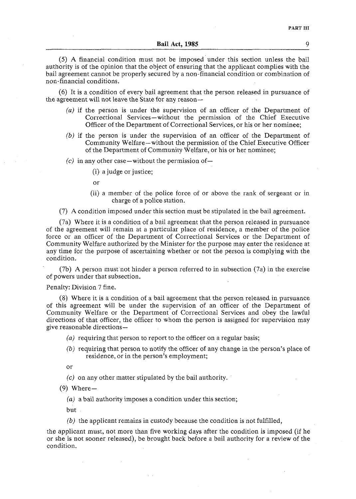(5) A financial condition must not be imposed under this section unless the bail authority is of the opinion that the object of ensuring that the applicant complies with the bail agreement cannot be properly secured by a non-financial condition or combination of non-financial conditions.

(6) It is a condition of every bail agreement that the person released in pursuance of the agreement will not leave the State for any reason-

- *(a)* if the person is under the supervision of an officer of the Department of Correctional Services-without the permission of the Chief Executive Officer of the Department of Correctional Services, or his or her nominee;
- *(b)* if the person is under the supervision of an officer of the Department of Community Welfare-without the permission of the Chief Executive Officer of the Department of Community Welfare, or his or her nominee;
- $(c)$  in any other case—without the permission of—
	- (i) a judge or justice;

or

(ii) a member of the police force of or above the rank of sergeant or in charge of a police station.

(7) A condition imposed under this section must be stipulated in the bail agreement.

(7a) Where it is a condition of a bail agreement that the person released in pursuance of the agreement will remain at a particular place of residence, a member of the police force or an officer of the Department of Correctional Services or the Department of Community Welfare authorized by the Minister for the purpose may enter the residence at any time for the purpose of ascertaining whether or not the person is complying with the condition.

(7b) A person mustnot hinder a person referred to in subsection (7a) in the exercise of powers under that subsection.

## Penalty: Division 7 fine.

(8) Where it is a condition of a bail agreement that the person released in pursuance of this agreement will be under the supervision of an officer of the Department of Community Welfare or the Department of Correctional Services and obey the lawful directions of that officer, the officer to whom the person is assigned for supervision may give reasonable directions-

*(a)* requiring that person to report to the officer on a regular basis;

*jb)* requiring that person to notify the officer of any change in the person's place of residence, or in the person's employment;

or

- *(c)* on any other matter stipulated by the bail authority.
- $(9)$  Where-
	- (a) a bail authority imposes a condition under this section;

but

*(b)* the applicant remains in custody because the condition is not fulfilled,

the applicant must, not more than five working days after the condition is imposed (if he or she is not sooner released), be brought back before a bail authority for a review of the condition.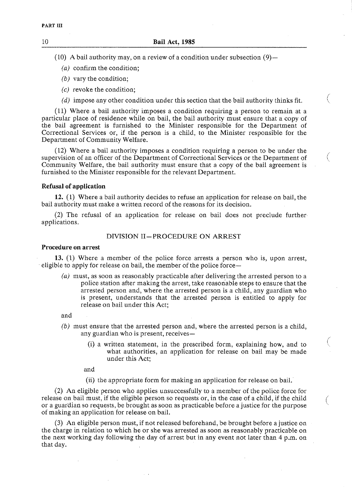(10) A bail authority may, on a review of a condition under subsection  $(9)$  -

- $(a)$  confirm the condition;
- (b) vary the condition;
- *(c)* revoke the condition;
- (d) impose any other condition under this section that the bail authority thinks fit.

(11) Where a bail authority imposes a condition requiring a person to remain at a particular place of residence while on bail, the bail authority must ensure that a copy of the bail agreement is furnished to the Minister responsible for the Department of Correctional Services or, if the person is a child, to the Minister responsible for the Department of Community Welfare.

(12) Where a bail authority imposes a condition requiring a person to be under the supervision of an officer of the Department of Correctional Services or the Department of Community Welfare, the bail authority must ensure that a copy of the bail agreement is furnished to the Minister responsible for the relevant Department.

### **Refusal of application**

**12.** (1) Where a bail authority decides to refuse an application for release on bail, the bail authority must make a written record of the reasons for its decision.

(2) The refusal of an application for release on bail does not preclude further applications.

### DIVISION 11-PROCEDURE ON ARREST

#### **Procedure on arrest**

**13.** (1) Where a member of the police force arrests a person who is, upon arrest, eligible to apply for release on bail, the member of the police force-

(a) must, as soon as reasonably practicable after delivering the arrested person to a police station after making the arrest, take reasonable steps to ensure that the arrested person and, where the arrested person is a child, any guardian who is present, understands that the arrested person is entitled to apply for release on bail under this Act;

and

- (b) must ensure that the arrested person and, where the arrested person is a child, any guardian who is present, receives-
	- (i) a written statement, in the prescribed form, explaining how, and to <sup>i</sup> what authorities, an application for release on bail may be made under this Act;

\.,

and

(ii) the appropriate form for making an application for release on bail.

(2) An eligible person who applies unsuccessfully to a member of the police force for release on bail must, if the eligible person so requests or, in the case of a child, if the child or a guardian so requests, be brought as soon as practicable before a justice for the purpose \~ of making an application for release on bail.

**(3)** An eligible person must, if not released beforehand, be brought before a justice on the charge in relation to which he or she was arrested as soon as reasonably practicable on the next working day following the day of arrest but in any event not later than 4 p.m. on that day.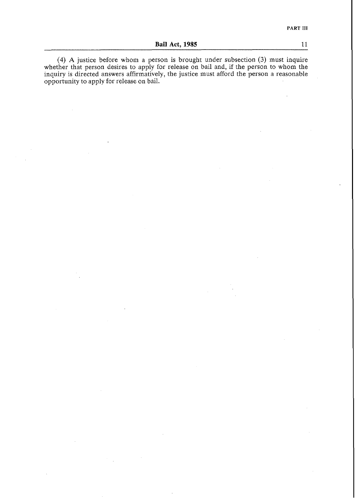(4) **A** justice before whom a person is brought under subsection **(3)** must inquire whether that person desires to apply for release on bail and, if the person to whom the inquiry is directed answers affirmatively, the justice must afford the person a reasonable opportunity to apply for release on bail.